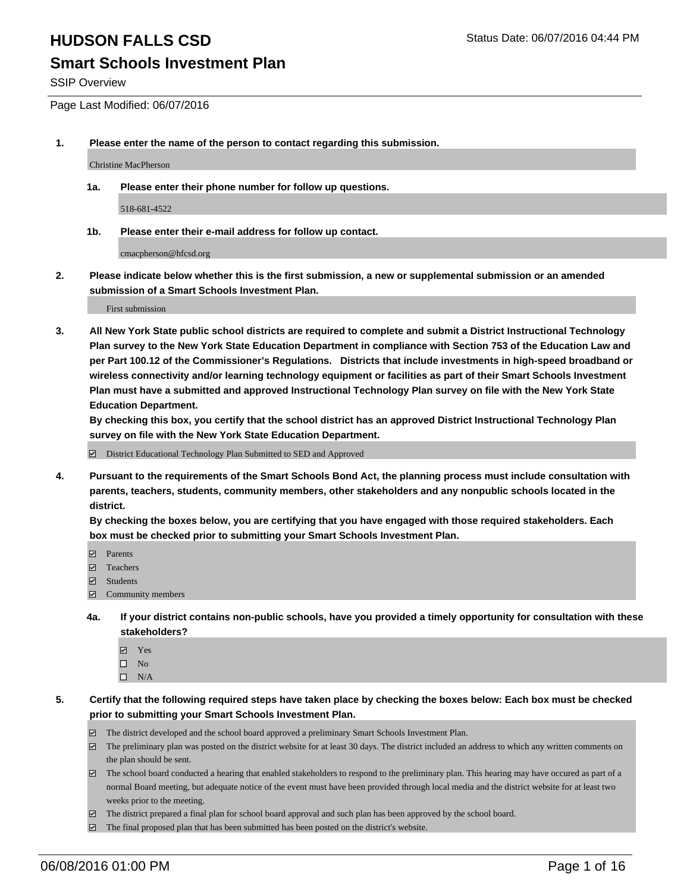### **Smart Schools Investment Plan**

SSIP Overview

Page Last Modified: 06/07/2016

**1. Please enter the name of the person to contact regarding this submission.**

Christine MacPherson

**1a. Please enter their phone number for follow up questions.**

518-681-4522

**1b. Please enter their e-mail address for follow up contact.**

cmacpherson@hfcsd.org

**2. Please indicate below whether this is the first submission, a new or supplemental submission or an amended submission of a Smart Schools Investment Plan.**

First submission

**3. All New York State public school districts are required to complete and submit a District Instructional Technology Plan survey to the New York State Education Department in compliance with Section 753 of the Education Law and per Part 100.12 of the Commissioner's Regulations. Districts that include investments in high-speed broadband or wireless connectivity and/or learning technology equipment or facilities as part of their Smart Schools Investment Plan must have a submitted and approved Instructional Technology Plan survey on file with the New York State Education Department.** 

**By checking this box, you certify that the school district has an approved District Instructional Technology Plan survey on file with the New York State Education Department.**

District Educational Technology Plan Submitted to SED and Approved

**4. Pursuant to the requirements of the Smart Schools Bond Act, the planning process must include consultation with parents, teachers, students, community members, other stakeholders and any nonpublic schools located in the district.** 

**By checking the boxes below, you are certifying that you have engaged with those required stakeholders. Each box must be checked prior to submitting your Smart Schools Investment Plan.**

- Parents
- □ Teachers
- $\blacksquare$  Students
- Community members
- **4a. If your district contains non-public schools, have you provided a timely opportunity for consultation with these stakeholders?**
	- Yes  $\square$  No
	- $\square$  N/A
- **5. Certify that the following required steps have taken place by checking the boxes below: Each box must be checked prior to submitting your Smart Schools Investment Plan.**
	- The district developed and the school board approved a preliminary Smart Schools Investment Plan.
	- $\boxdot$  The preliminary plan was posted on the district website for at least 30 days. The district included an address to which any written comments on the plan should be sent.
	- $\Box$  The school board conducted a hearing that enabled stakeholders to respond to the preliminary plan. This hearing may have occured as part of a normal Board meeting, but adequate notice of the event must have been provided through local media and the district website for at least two weeks prior to the meeting.
	- The district prepared a final plan for school board approval and such plan has been approved by the school board.
	- $\boxdot$  The final proposed plan that has been submitted has been posted on the district's website.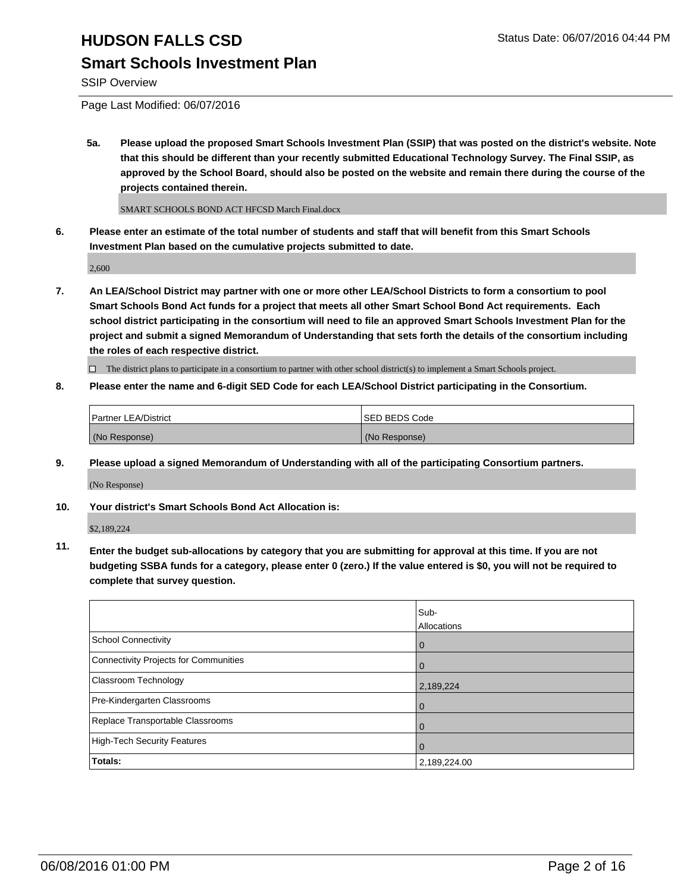### **Smart Schools Investment Plan**

SSIP Overview

Page Last Modified: 06/07/2016

**5a. Please upload the proposed Smart Schools Investment Plan (SSIP) that was posted on the district's website. Note that this should be different than your recently submitted Educational Technology Survey. The Final SSIP, as approved by the School Board, should also be posted on the website and remain there during the course of the projects contained therein.**

SMART SCHOOLS BOND ACT HFCSD March Final.docx

**6. Please enter an estimate of the total number of students and staff that will benefit from this Smart Schools Investment Plan based on the cumulative projects submitted to date.**

2,600

**7. An LEA/School District may partner with one or more other LEA/School Districts to form a consortium to pool Smart Schools Bond Act funds for a project that meets all other Smart School Bond Act requirements. Each school district participating in the consortium will need to file an approved Smart Schools Investment Plan for the project and submit a signed Memorandum of Understanding that sets forth the details of the consortium including the roles of each respective district.**

 $\Box$  The district plans to participate in a consortium to partner with other school district(s) to implement a Smart Schools project.

**8. Please enter the name and 6-digit SED Code for each LEA/School District participating in the Consortium.**

| <b>Partner LEA/District</b> | ISED BEDS Code |
|-----------------------------|----------------|
| (No Response)               | (No Response)  |

**9. Please upload a signed Memorandum of Understanding with all of the participating Consortium partners.** (No Response)

**10. Your district's Smart Schools Bond Act Allocation is:**

\$2,189,224

**11. Enter the budget sub-allocations by category that you are submitting for approval at this time. If you are not budgeting SSBA funds for a category, please enter 0 (zero.) If the value entered is \$0, you will not be required to complete that survey question.**

|                                       | Sub-         |
|---------------------------------------|--------------|
|                                       | Allocations  |
| <b>School Connectivity</b>            | $\mathbf 0$  |
| Connectivity Projects for Communities | $\Omega$     |
| Classroom Technology                  | 2,189,224    |
| Pre-Kindergarten Classrooms           | $\Omega$     |
| Replace Transportable Classrooms      | 0            |
| High-Tech Security Features           | 0            |
| <b>Totals:</b>                        | 2,189,224.00 |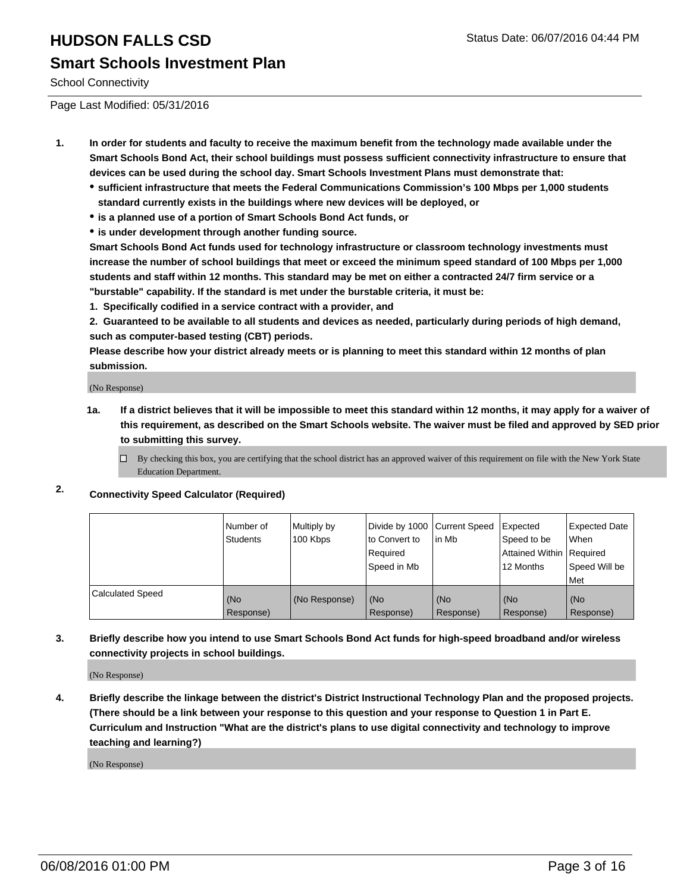# **HUDSON FALLS CSD** Status Date: 06/07/2016 04:44 PM **Smart Schools Investment Plan**

School Connectivity

Page Last Modified: 05/31/2016

- **1. In order for students and faculty to receive the maximum benefit from the technology made available under the Smart Schools Bond Act, their school buildings must possess sufficient connectivity infrastructure to ensure that devices can be used during the school day. Smart Schools Investment Plans must demonstrate that:**
	- **sufficient infrastructure that meets the Federal Communications Commission's 100 Mbps per 1,000 students standard currently exists in the buildings where new devices will be deployed, or**
	- **is a planned use of a portion of Smart Schools Bond Act funds, or**
	- **is under development through another funding source.**

**Smart Schools Bond Act funds used for technology infrastructure or classroom technology investments must increase the number of school buildings that meet or exceed the minimum speed standard of 100 Mbps per 1,000 students and staff within 12 months. This standard may be met on either a contracted 24/7 firm service or a "burstable" capability. If the standard is met under the burstable criteria, it must be:**

**1. Specifically codified in a service contract with a provider, and**

**2. Guaranteed to be available to all students and devices as needed, particularly during periods of high demand, such as computer-based testing (CBT) periods.**

**Please describe how your district already meets or is planning to meet this standard within 12 months of plan submission.**

(No Response)

- **1a. If a district believes that it will be impossible to meet this standard within 12 months, it may apply for a waiver of this requirement, as described on the Smart Schools website. The waiver must be filed and approved by SED prior to submitting this survey.**
	- $\Box$  By checking this box, you are certifying that the school district has an approved waiver of this requirement on file with the New York State Education Department.

### **2. Connectivity Speed Calculator (Required)**

|                         | Number of<br>Students | Multiply by<br>100 Kbps | Divide by 1000 Current Speed<br>to Convert to<br>Required<br>Speed in Mb | lin Mb           | Expected<br>Speed to be<br>Attained Within   Required<br>12 Months | <b>Expected Date</b><br><b>When</b><br>Speed Will be<br><b>Met</b> |
|-------------------------|-----------------------|-------------------------|--------------------------------------------------------------------------|------------------|--------------------------------------------------------------------|--------------------------------------------------------------------|
| <b>Calculated Speed</b> | l (No<br>Response)    | (No Response)           | (No<br>Response)                                                         | (No<br>Response) | (No<br>Response)                                                   | l (No<br>Response)                                                 |

**3. Briefly describe how you intend to use Smart Schools Bond Act funds for high-speed broadband and/or wireless connectivity projects in school buildings.**

(No Response)

**4. Briefly describe the linkage between the district's District Instructional Technology Plan and the proposed projects. (There should be a link between your response to this question and your response to Question 1 in Part E. Curriculum and Instruction "What are the district's plans to use digital connectivity and technology to improve teaching and learning?)**

(No Response)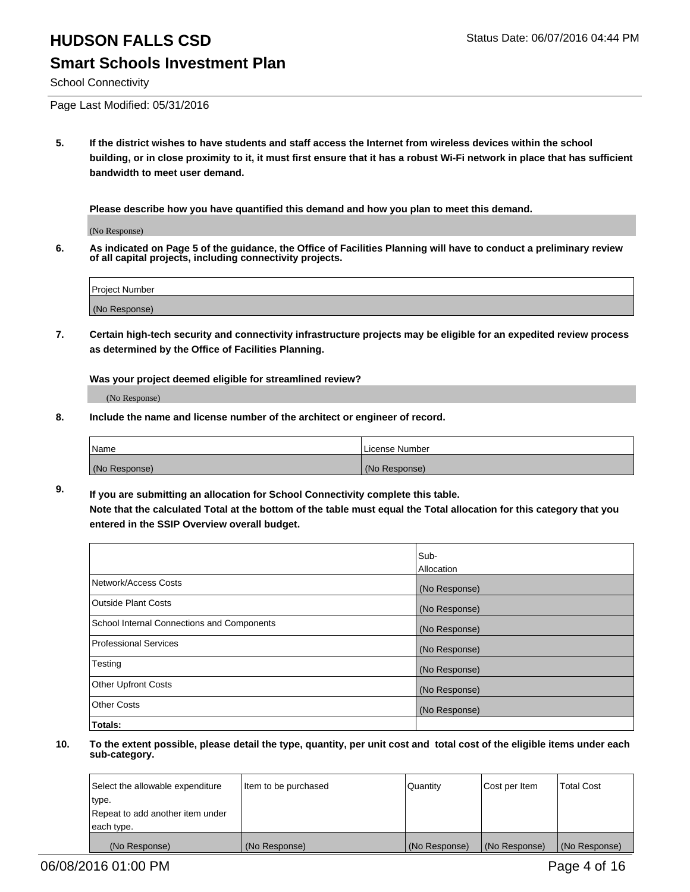## **HUDSON FALLS CSD** Status Date: 06/07/2016 04:44 PM **Smart Schools Investment Plan**

School Connectivity

Page Last Modified: 05/31/2016

**5. If the district wishes to have students and staff access the Internet from wireless devices within the school building, or in close proximity to it, it must first ensure that it has a robust Wi-Fi network in place that has sufficient bandwidth to meet user demand.**

**Please describe how you have quantified this demand and how you plan to meet this demand.**

(No Response)

**6. As indicated on Page 5 of the guidance, the Office of Facilities Planning will have to conduct a preliminary review of all capital projects, including connectivity projects.**

| Project Number |  |
|----------------|--|
| (No Response)  |  |

**7. Certain high-tech security and connectivity infrastructure projects may be eligible for an expedited review process as determined by the Office of Facilities Planning.**

**Was your project deemed eligible for streamlined review?**

(No Response)

**8. Include the name and license number of the architect or engineer of record.**

| <b>Name</b>   | License Number |
|---------------|----------------|
| (No Response) | (No Response)  |

**9. If you are submitting an allocation for School Connectivity complete this table. Note that the calculated Total at the bottom of the table must equal the Total allocation for this category that you entered in the SSIP Overview overall budget.** 

|                                            | Sub-          |
|--------------------------------------------|---------------|
|                                            | Allocation    |
| Network/Access Costs                       | (No Response) |
| <b>Outside Plant Costs</b>                 | (No Response) |
| School Internal Connections and Components | (No Response) |
| Professional Services                      | (No Response) |
| Testing                                    | (No Response) |
| <b>Other Upfront Costs</b>                 | (No Response) |
| <b>Other Costs</b>                         | (No Response) |
| Totals:                                    |               |

| Select the allowable expenditure | Item to be purchased | Quantity      | Cost per Item | <b>Total Cost</b> |
|----------------------------------|----------------------|---------------|---------------|-------------------|
| type.                            |                      |               |               |                   |
| Repeat to add another item under |                      |               |               |                   |
| each type.                       |                      |               |               |                   |
| (No Response)                    | (No Response)        | (No Response) | (No Response) | (No Response)     |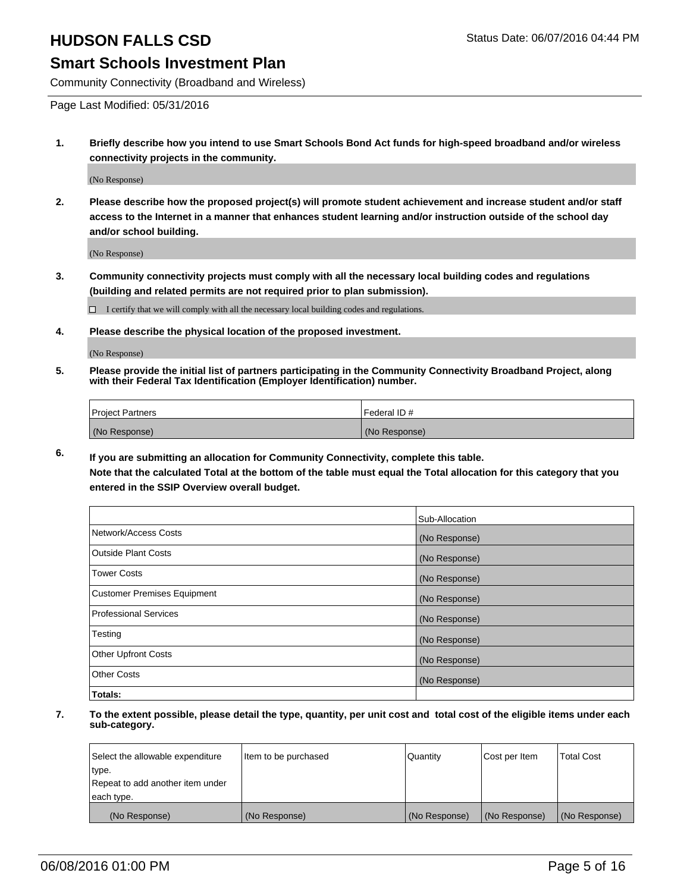### **Smart Schools Investment Plan**

Community Connectivity (Broadband and Wireless)

Page Last Modified: 05/31/2016

**1. Briefly describe how you intend to use Smart Schools Bond Act funds for high-speed broadband and/or wireless connectivity projects in the community.**

(No Response)

**2. Please describe how the proposed project(s) will promote student achievement and increase student and/or staff access to the Internet in a manner that enhances student learning and/or instruction outside of the school day and/or school building.**

(No Response)

**3. Community connectivity projects must comply with all the necessary local building codes and regulations (building and related permits are not required prior to plan submission).**

 $\Box$  I certify that we will comply with all the necessary local building codes and regulations.

**4. Please describe the physical location of the proposed investment.**

(No Response)

**5. Please provide the initial list of partners participating in the Community Connectivity Broadband Project, along with their Federal Tax Identification (Employer Identification) number.**

| Project Partners | <b>IFederal ID#</b> |
|------------------|---------------------|
| (No Response)    | (No Response)       |

**6. If you are submitting an allocation for Community Connectivity, complete this table.**

**Note that the calculated Total at the bottom of the table must equal the Total allocation for this category that you entered in the SSIP Overview overall budget.**

|                                    | Sub-Allocation |
|------------------------------------|----------------|
| Network/Access Costs               | (No Response)  |
| Outside Plant Costs                | (No Response)  |
| Tower Costs                        | (No Response)  |
| <b>Customer Premises Equipment</b> | (No Response)  |
| Professional Services              | (No Response)  |
| Testing                            | (No Response)  |
| <b>Other Upfront Costs</b>         | (No Response)  |
| Other Costs                        | (No Response)  |
| Totals:                            |                |

| Select the allowable expenditure | Item to be purchased | Quantity      | Cost per Item | <b>Total Cost</b> |
|----------------------------------|----------------------|---------------|---------------|-------------------|
| type.                            |                      |               |               |                   |
| Repeat to add another item under |                      |               |               |                   |
| each type.                       |                      |               |               |                   |
| (No Response)                    | (No Response)        | (No Response) | (No Response) | (No Response)     |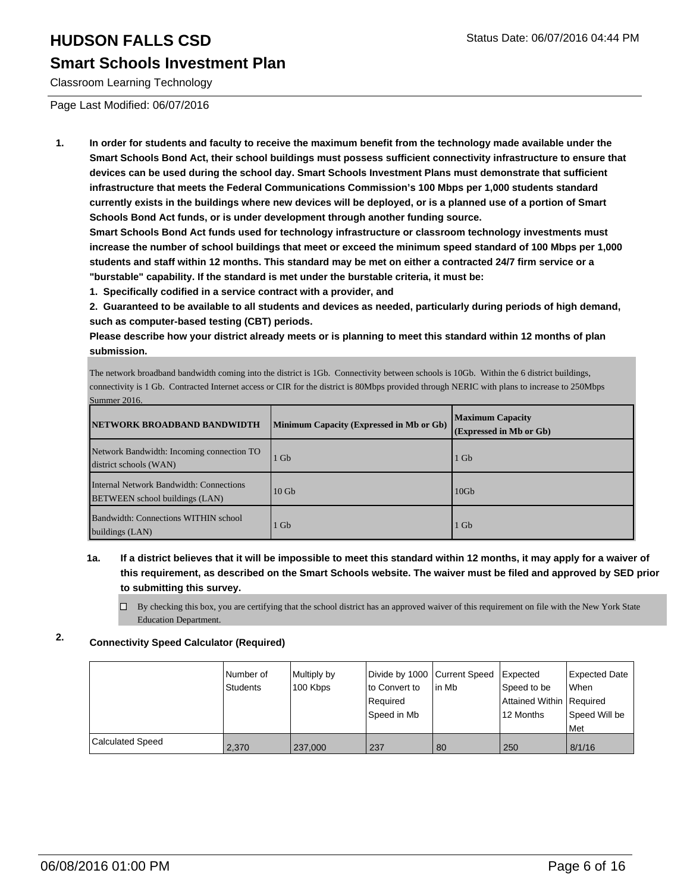### **Smart Schools Investment Plan**

Classroom Learning Technology

Page Last Modified: 06/07/2016

**1. In order for students and faculty to receive the maximum benefit from the technology made available under the Smart Schools Bond Act, their school buildings must possess sufficient connectivity infrastructure to ensure that devices can be used during the school day. Smart Schools Investment Plans must demonstrate that sufficient infrastructure that meets the Federal Communications Commission's 100 Mbps per 1,000 students standard currently exists in the buildings where new devices will be deployed, or is a planned use of a portion of Smart Schools Bond Act funds, or is under development through another funding source.**

**Smart Schools Bond Act funds used for technology infrastructure or classroom technology investments must increase the number of school buildings that meet or exceed the minimum speed standard of 100 Mbps per 1,000 students and staff within 12 months. This standard may be met on either a contracted 24/7 firm service or a "burstable" capability. If the standard is met under the burstable criteria, it must be:**

**1. Specifically codified in a service contract with a provider, and**

**2. Guaranteed to be available to all students and devices as needed, particularly during periods of high demand, such as computer-based testing (CBT) periods.**

**Please describe how your district already meets or is planning to meet this standard within 12 months of plan submission.**

The network broadband bandwidth coming into the district is 1Gb. Connectivity between schools is 10Gb. Within the 6 district buildings, connectivity is 1 Gb. Contracted Internet access or CIR for the district is 80Mbps provided through NERIC with plans to increase to 250Mbps Summer 2016.

| <b>INETWORK BROADBAND BANDWIDTH</b>                                              | Minimum Capacity (Expressed in Mb or Gb) | <b>Maximum Capacity</b><br>(Expressed in Mb or Gb) |
|----------------------------------------------------------------------------------|------------------------------------------|----------------------------------------------------|
| Network Bandwidth: Incoming connection TO<br>district schools (WAN)              | Gb                                       | 1 Gb                                               |
| Internal Network Bandwidth: Connections<br><b>BETWEEN</b> school buildings (LAN) | $10$ Gb                                  | 10 <sub>Gb</sub>                                   |
| Bandwidth: Connections WITHIN school<br>buildings (LAN)                          | Gb                                       | 1 Gb                                               |

#### **1a. If a district believes that it will be impossible to meet this standard within 12 months, it may apply for a waiver of this requirement, as described on the Smart Schools website. The waiver must be filed and approved by SED prior to submitting this survey.**

By checking this box, you are certifying that the school district has an approved waiver of this requirement on file with the New York State Education Department.

### **2. Connectivity Speed Calculator (Required)**

|                  | Number of<br>Students | Multiply by<br>100 Kbps | Divide by 1000 Current Speed<br>lto Convert to<br>l Reauired<br>Speed in Mb | lin Mb | Expected<br>Speed to be<br>Attained Within   Required<br>12 Months | Expected Date<br>When<br>Speed Will be<br>l Met |
|------------------|-----------------------|-------------------------|-----------------------------------------------------------------------------|--------|--------------------------------------------------------------------|-------------------------------------------------|
| Calculated Speed | 2.370                 | 237,000                 | 237                                                                         | 80     | 250                                                                | 8/1/16                                          |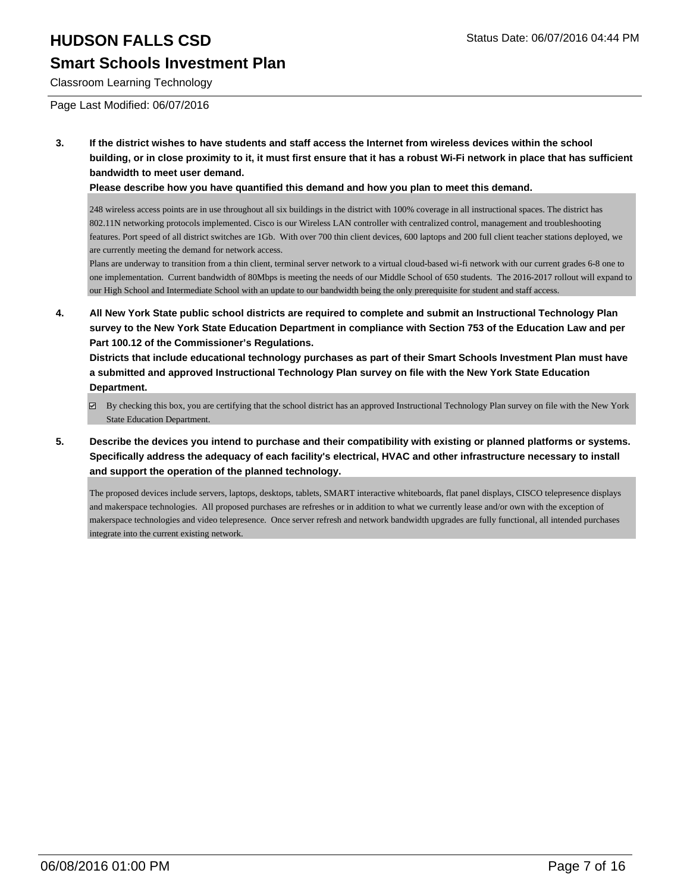### **Smart Schools Investment Plan**

Classroom Learning Technology

Page Last Modified: 06/07/2016

**3. If the district wishes to have students and staff access the Internet from wireless devices within the school building, or in close proximity to it, it must first ensure that it has a robust Wi-Fi network in place that has sufficient bandwidth to meet user demand.**

**Please describe how you have quantified this demand and how you plan to meet this demand.**

248 wireless access points are in use throughout all six buildings in the district with 100% coverage in all instructional spaces. The district has 802.11N networking protocols implemented. Cisco is our Wireless LAN controller with centralized control, management and troubleshooting features. Port speed of all district switches are 1Gb. With over 700 thin client devices, 600 laptops and 200 full client teacher stations deployed, we are currently meeting the demand for network access.

Plans are underway to transition from a thin client, terminal server network to a virtual cloud-based wi-fi network with our current grades 6-8 one to one implementation. Current bandwidth of 80Mbps is meeting the needs of our Middle School of 650 students. The 2016-2017 rollout will expand to our High School and Intermediate School with an update to our bandwidth being the only prerequisite for student and staff access.

**4. All New York State public school districts are required to complete and submit an Instructional Technology Plan survey to the New York State Education Department in compliance with Section 753 of the Education Law and per Part 100.12 of the Commissioner's Regulations.**

**Districts that include educational technology purchases as part of their Smart Schools Investment Plan must have a submitted and approved Instructional Technology Plan survey on file with the New York State Education Department.**

- By checking this box, you are certifying that the school district has an approved Instructional Technology Plan survey on file with the New York State Education Department.
- **5. Describe the devices you intend to purchase and their compatibility with existing or planned platforms or systems. Specifically address the adequacy of each facility's electrical, HVAC and other infrastructure necessary to install and support the operation of the planned technology.**

The proposed devices include servers, laptops, desktops, tablets, SMART interactive whiteboards, flat panel displays, CISCO telepresence displays and makerspace technologies. All proposed purchases are refreshes or in addition to what we currently lease and/or own with the exception of makerspace technologies and video telepresence. Once server refresh and network bandwidth upgrades are fully functional, all intended purchases integrate into the current existing network.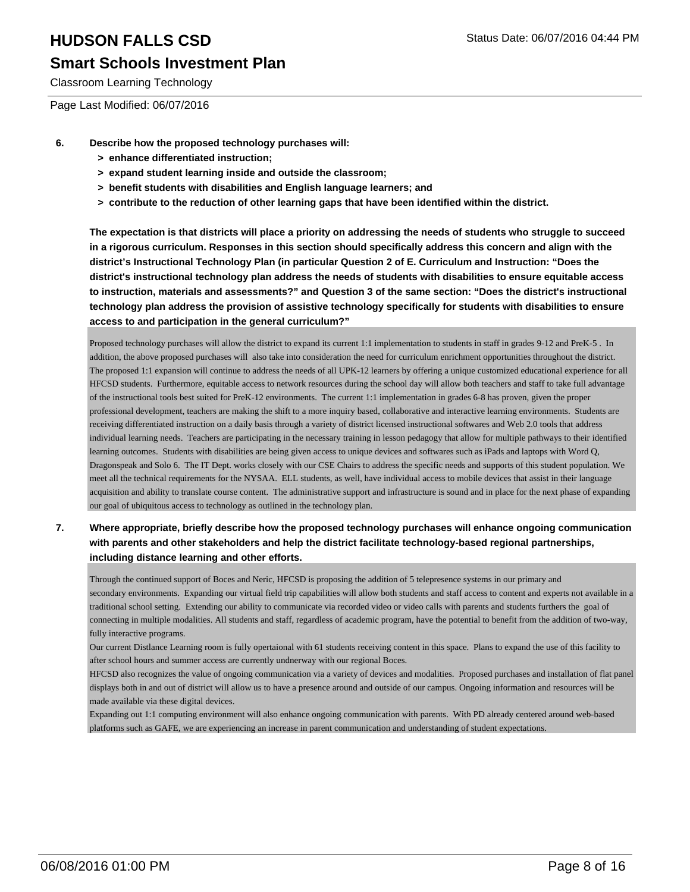### **Smart Schools Investment Plan**

Classroom Learning Technology

Page Last Modified: 06/07/2016

- **6. Describe how the proposed technology purchases will:**
	- **> enhance differentiated instruction;**
	- **> expand student learning inside and outside the classroom;**
	- **> benefit students with disabilities and English language learners; and**
	- **> contribute to the reduction of other learning gaps that have been identified within the district.**

**The expectation is that districts will place a priority on addressing the needs of students who struggle to succeed in a rigorous curriculum. Responses in this section should specifically address this concern and align with the district's Instructional Technology Plan (in particular Question 2 of E. Curriculum and Instruction: "Does the district's instructional technology plan address the needs of students with disabilities to ensure equitable access to instruction, materials and assessments?" and Question 3 of the same section: "Does the district's instructional technology plan address the provision of assistive technology specifically for students with disabilities to ensure access to and participation in the general curriculum?"**

Proposed technology purchases will allow the district to expand its current 1:1 implementation to students in staff in grades 9-12 and PreK-5 . In addition, the above proposed purchases will also take into consideration the need for curriculum enrichment opportunities throughout the district. The proposed 1:1 expansion will continue to address the needs of all UPK-12 learners by offering a unique customized educational experience for all HFCSD students. Furthermore, equitable access to network resources during the school day will allow both teachers and staff to take full advantage of the instructional tools best suited for PreK-12 environments. The current 1:1 implementation in grades 6-8 has proven, given the proper professional development, teachers are making the shift to a more inquiry based, collaborative and interactive learning environments. Students are receiving differentiated instruction on a daily basis through a variety of district licensed instructional softwares and Web 2.0 tools that address individual learning needs. Teachers are participating in the necessary training in lesson pedagogy that allow for multiple pathways to their identified learning outcomes. Students with disabilities are being given access to unique devices and softwares such as iPads and laptops with Word Q, Dragonspeak and Solo 6. The IT Dept. works closely with our CSE Chairs to address the specific needs and supports of this student population. We meet all the technical requirements for the NYSAA. ELL students, as well, have individual access to mobile devices that assist in their language acquisition and ability to translate course content. The administrative support and infrastructure is sound and in place for the next phase of expanding our goal of ubiquitous access to technology as outlined in the technology plan.

**7. Where appropriate, briefly describe how the proposed technology purchases will enhance ongoing communication with parents and other stakeholders and help the district facilitate technology-based regional partnerships, including distance learning and other efforts.**

Through the continued support of Boces and Neric, HFCSD is proposing the addition of 5 telepresence systems in our primary and secondary environments. Expanding our virtual field trip capabilities will allow both students and staff access to content and experts not available in a traditional school setting. Extending our ability to communicate via recorded video or video calls with parents and students furthers the goal of connecting in multiple modalities. All students and staff, regardless of academic program, have the potential to benefit from the addition of two-way, fully interactive programs.

Our current Distlance Learning room is fully opertaional with 61 students receiving content in this space. Plans to expand the use of this facility to after school hours and summer access are currently undnerway with our regional Boces.

HFCSD also recognizes the value of ongoing communication via a variety of devices and modalities. Proposed purchases and installation of flat panel displays both in and out of district will allow us to have a presence around and outside of our campus. Ongoing information and resources will be made available via these digital devices.

Expanding out 1:1 computing environment will also enhance ongoing communication with parents. With PD already centered around web-based platforms such as GAFE, we are experiencing an increase in parent communication and understanding of student expectations.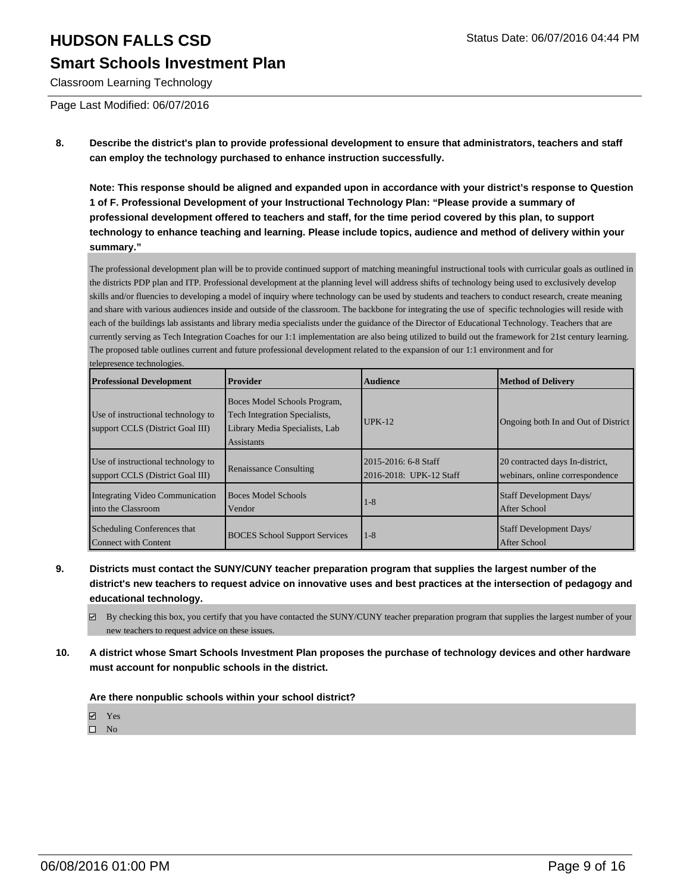## **HUDSON FALLS CSD** Status Date: 06/07/2016 04:44 PM **Smart Schools Investment Plan**

Classroom Learning Technology

Page Last Modified: 06/07/2016

**8. Describe the district's plan to provide professional development to ensure that administrators, teachers and staff can employ the technology purchased to enhance instruction successfully.**

**Note: This response should be aligned and expanded upon in accordance with your district's response to Question 1 of F. Professional Development of your Instructional Technology Plan: "Please provide a summary of professional development offered to teachers and staff, for the time period covered by this plan, to support technology to enhance teaching and learning. Please include topics, audience and method of delivery within your summary."**

The professional development plan will be to provide continued support of matching meaningful instructional tools with curricular goals as outlined in the districts PDP plan and ITP. Professional development at the planning level will address shifts of technology being used to exclusively develop skills and/or fluencies to developing a model of inquiry where technology can be used by students and teachers to conduct research, create meaning and share with various audiences inside and outside of the classroom. The backbone for integrating the use of specific technologies will reside with each of the buildings lab assistants and library media specialists under the guidance of the Director of Educational Technology. Teachers that are currently serving as Tech Integration Coaches for our 1:1 implementation are also being utilized to build out the framework for 21st century learning. The proposed table outlines current and future professional development related to the expansion of our 1:1 environment and for telepresence technologies.

| <b>Professional Development</b>                                        | Provider                                                                                                             | <b>Audience</b>                                 | Method of Delivery                                                 |
|------------------------------------------------------------------------|----------------------------------------------------------------------------------------------------------------------|-------------------------------------------------|--------------------------------------------------------------------|
| Use of instructional technology to<br>support CCLS (District Goal III) | Boces Model Schools Program,<br><b>Tech Integration Specialists,</b><br>Library Media Specialists, Lab<br>Assistants | $IIPK-12$                                       | Ongoing both In and Out of District                                |
| Use of instructional technology to<br>support CCLS (District Goal III) | <b>Renaissance Consulting</b>                                                                                        | 2015-2016: 6-8 Staff<br>2016-2018: UPK-12 Staff | 20 contracted days In-district,<br>webinars, online correspondence |
| Integrating Video Communication<br>into the Classroom                  | <b>Boces Model Schools</b><br>Vendor                                                                                 | $1 - 8$                                         | Staff Development Days/<br>After School                            |
| Scheduling Conferences that<br>Connect with Content                    | <b>BOCES</b> School Support Services                                                                                 | $1-8$                                           | Staff Development Days/<br>After School                            |

- **9. Districts must contact the SUNY/CUNY teacher preparation program that supplies the largest number of the district's new teachers to request advice on innovative uses and best practices at the intersection of pedagogy and educational technology.**
	- $\boxtimes$  By checking this box, you certify that you have contacted the SUNY/CUNY teacher preparation program that supplies the largest number of your new teachers to request advice on these issues.
- **10. A district whose Smart Schools Investment Plan proposes the purchase of technology devices and other hardware must account for nonpublic schools in the district.**

#### **Are there nonpublic schools within your school district?**

**Ø** Yes

 $\square$  No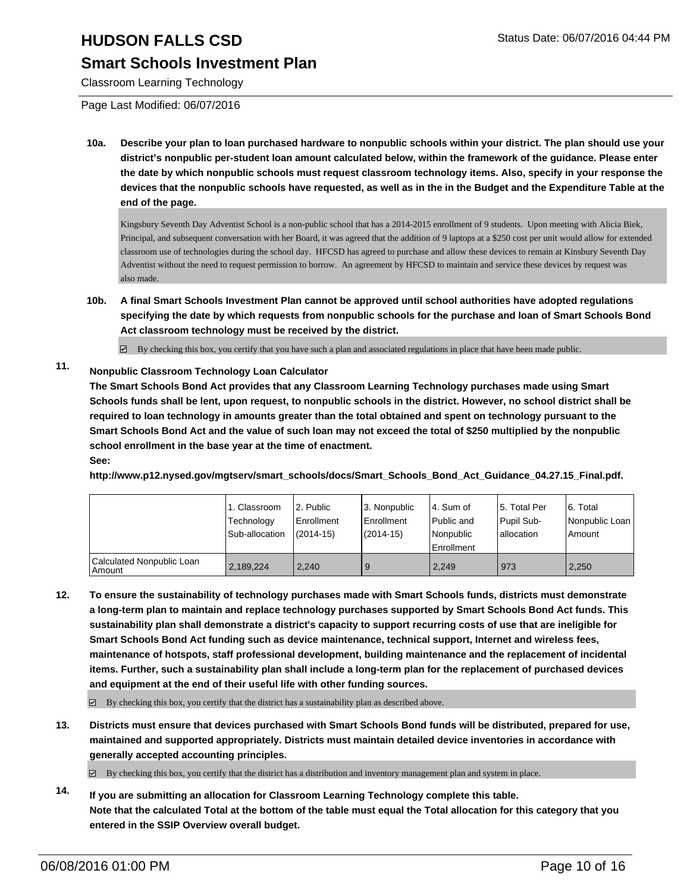### **Smart Schools Investment Plan**

Classroom Learning Technology

Page Last Modified: 06/07/2016

**10a. Describe your plan to loan purchased hardware to nonpublic schools within your district. The plan should use your district's nonpublic per-student loan amount calculated below, within the framework of the guidance. Please enter the date by which nonpublic schools must request classroom technology items. Also, specify in your response the devices that the nonpublic schools have requested, as well as in the in the Budget and the Expenditure Table at the end of the page.**

Kingsbury Seventh Day Adventist School is a non-public school that has a 2014-2015 enrollment of 9 students. Upon meeting with Alicia Biek, Principal, and subsequent conversation with her Board, it was agreed that the addition of 9 laptops at a \$250 cost per unit would allow for extended classroom use of technologies during the school day. HFCSD has agreed to purchase and allow these devices to remain at Kinsbury Seventh Day Adventist without the need to request permission to borrow. An agreement by HFCSD to maintain and service these devices by request was also made.

**10b. A final Smart Schools Investment Plan cannot be approved until school authorities have adopted regulations specifying the date by which requests from nonpublic schools for the purchase and loan of Smart Schools Bond Act classroom technology must be received by the district.**

 $\boxtimes$  By checking this box, you certify that you have such a plan and associated regulations in place that have been made public.

### **11. Nonpublic Classroom Technology Loan Calculator**

**The Smart Schools Bond Act provides that any Classroom Learning Technology purchases made using Smart Schools funds shall be lent, upon request, to nonpublic schools in the district. However, no school district shall be required to loan technology in amounts greater than the total obtained and spent on technology pursuant to the Smart Schools Bond Act and the value of such loan may not exceed the total of \$250 multiplied by the nonpublic school enrollment in the base year at the time of enactment. See:**

**http://www.p12.nysed.gov/mgtserv/smart\_schools/docs/Smart\_Schools\_Bond\_Act\_Guidance\_04.27.15\_Final.pdf.**

|                                       | 1. Classroom<br>Technology<br>Sub-allocation | 2. Public<br>Enrollment<br>$(2014 - 15)$ | 3. Nonpublic<br><b>Enrollment</b><br>$(2014 - 15)$ | l 4. Sum of<br>l Public and<br>l Nonpublic<br><b>Enrollment</b> | 5. Total Per<br>Pupil Sub-<br>lallocation | 6. Total<br>  Nonpublic Loan  <br>Amount |
|---------------------------------------|----------------------------------------------|------------------------------------------|----------------------------------------------------|-----------------------------------------------------------------|-------------------------------------------|------------------------------------------|
| Calculated Nonpublic Loan<br>l Amount | 2,189,224                                    | 2.240                                    | 9                                                  | 2,249                                                           | 973                                       | 2,250                                    |

- **12. To ensure the sustainability of technology purchases made with Smart Schools funds, districts must demonstrate a long-term plan to maintain and replace technology purchases supported by Smart Schools Bond Act funds. This sustainability plan shall demonstrate a district's capacity to support recurring costs of use that are ineligible for Smart Schools Bond Act funding such as device maintenance, technical support, Internet and wireless fees, maintenance of hotspots, staff professional development, building maintenance and the replacement of incidental items. Further, such a sustainability plan shall include a long-term plan for the replacement of purchased devices and equipment at the end of their useful life with other funding sources.**
	- $\boxtimes$  By checking this box, you certify that the district has a sustainability plan as described above.
- **13. Districts must ensure that devices purchased with Smart Schools Bond funds will be distributed, prepared for use, maintained and supported appropriately. Districts must maintain detailed device inventories in accordance with generally accepted accounting principles.**

 $\boxtimes$  By checking this box, you certify that the district has a distribution and inventory management plan and system in place.

**14. If you are submitting an allocation for Classroom Learning Technology complete this table. Note that the calculated Total at the bottom of the table must equal the Total allocation for this category that you entered in the SSIP Overview overall budget.**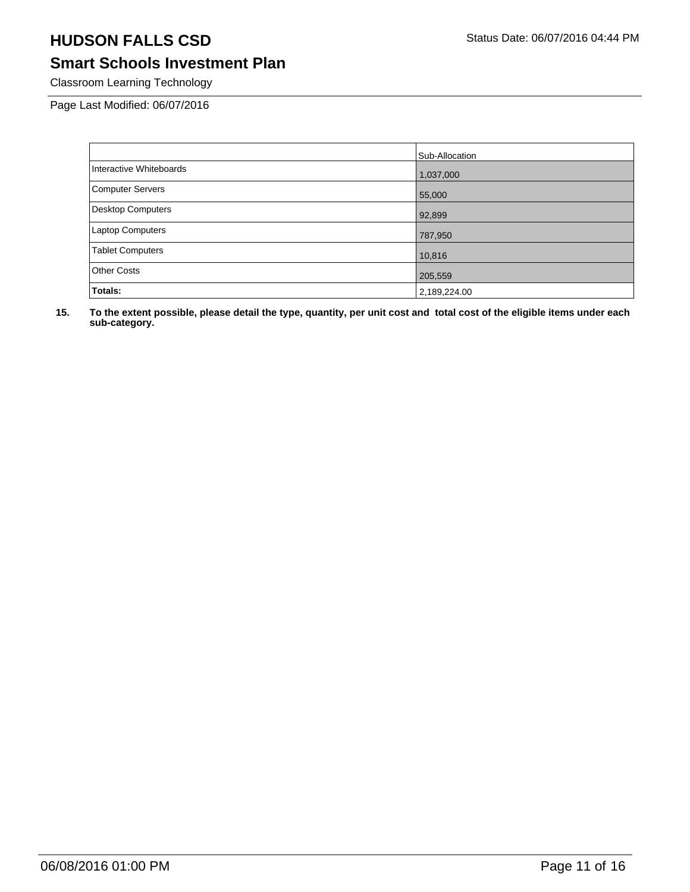## **Smart Schools Investment Plan**

Classroom Learning Technology

Page Last Modified: 06/07/2016

|                          | Sub-Allocation |
|--------------------------|----------------|
| Interactive Whiteboards  | 1,037,000      |
| <b>Computer Servers</b>  | 55,000         |
| <b>Desktop Computers</b> | 92,899         |
| <b>Laptop Computers</b>  | 787,950        |
| <b>Tablet Computers</b>  | 10,816         |
| <b>Other Costs</b>       | 205,559        |
| Totals:                  | 2,189,224.00   |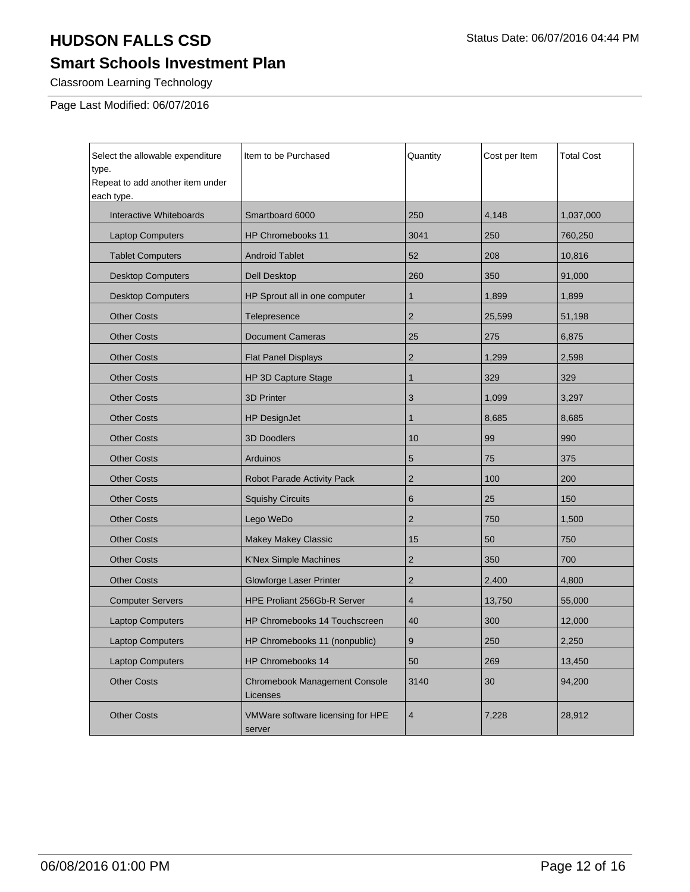## **Smart Schools Investment Plan**

Classroom Learning Technology

Page Last Modified: 06/07/2016

| Select the allowable expenditure<br>type.<br>Repeat to add another item under<br>each type. | Item to be Purchased                        | Quantity                | Cost per Item | Total Cost |
|---------------------------------------------------------------------------------------------|---------------------------------------------|-------------------------|---------------|------------|
| Interactive Whiteboards                                                                     | Smartboard 6000                             | 250                     | 4,148         | 1,037,000  |
| <b>Laptop Computers</b>                                                                     | <b>HP Chromebooks 11</b>                    | 3041                    | 250           | 760,250    |
| <b>Tablet Computers</b>                                                                     | <b>Android Tablet</b>                       | 52                      | 208           | 10,816     |
| <b>Desktop Computers</b>                                                                    | <b>Dell Desktop</b>                         | 260                     | 350           | 91,000     |
| <b>Desktop Computers</b>                                                                    | HP Sprout all in one computer               | 1                       | 1,899         | 1,899      |
| <b>Other Costs</b>                                                                          | Telepresence                                | $\overline{2}$          | 25,599        | 51,198     |
| <b>Other Costs</b>                                                                          | <b>Document Cameras</b>                     | 25                      | 275           | 6,875      |
| <b>Other Costs</b>                                                                          | <b>Flat Panel Displays</b>                  | $\overline{2}$          | 1,299         | 2,598      |
| <b>Other Costs</b>                                                                          | HP 3D Capture Stage                         | 1                       | 329           | 329        |
| <b>Other Costs</b>                                                                          | <b>3D Printer</b>                           | 3                       | 1,099         | 3,297      |
| <b>Other Costs</b>                                                                          | <b>HP DesignJet</b>                         | 1                       | 8,685         | 8,685      |
| <b>Other Costs</b>                                                                          | <b>3D Doodlers</b>                          | 10                      | 99            | 990        |
| <b>Other Costs</b>                                                                          | <b>Arduinos</b>                             | 5                       | 75            | 375        |
| <b>Other Costs</b>                                                                          | Robot Parade Activity Pack                  | $\overline{2}$          | 100           | 200        |
| <b>Other Costs</b>                                                                          | <b>Squishy Circuits</b>                     | 6                       | 25            | 150        |
| <b>Other Costs</b>                                                                          | Lego WeDo                                   | $\overline{2}$          | 750           | 1,500      |
| <b>Other Costs</b>                                                                          | <b>Makey Makey Classic</b>                  | 15                      | 50            | 750        |
| <b>Other Costs</b>                                                                          | <b>K'Nex Simple Machines</b>                | $\overline{2}$          | 350           | 700        |
| <b>Other Costs</b>                                                                          | Glowforge Laser Printer                     | $\overline{2}$          | 2,400         | 4,800      |
| <b>Computer Servers</b>                                                                     | HPE Proliant 256Gb-R Server                 | 4                       | 13,750        | 55,000     |
| <b>Laptop Computers</b>                                                                     | HP Chromebooks 14 Touchscreen               | 40                      | 300           | 12,000     |
| <b>Laptop Computers</b>                                                                     | HP Chromebooks 11 (nonpublic)               | 9                       | 250           | 2,250      |
| <b>Laptop Computers</b>                                                                     | HP Chromebooks 14                           | 50                      | 269           | 13,450     |
| <b>Other Costs</b>                                                                          | Chromebook Management Console<br>Licenses   | 3140                    | 30            | 94,200     |
| <b>Other Costs</b>                                                                          | VMWare software licensing for HPE<br>server | $\overline{\mathbf{4}}$ | 7,228         | 28,912     |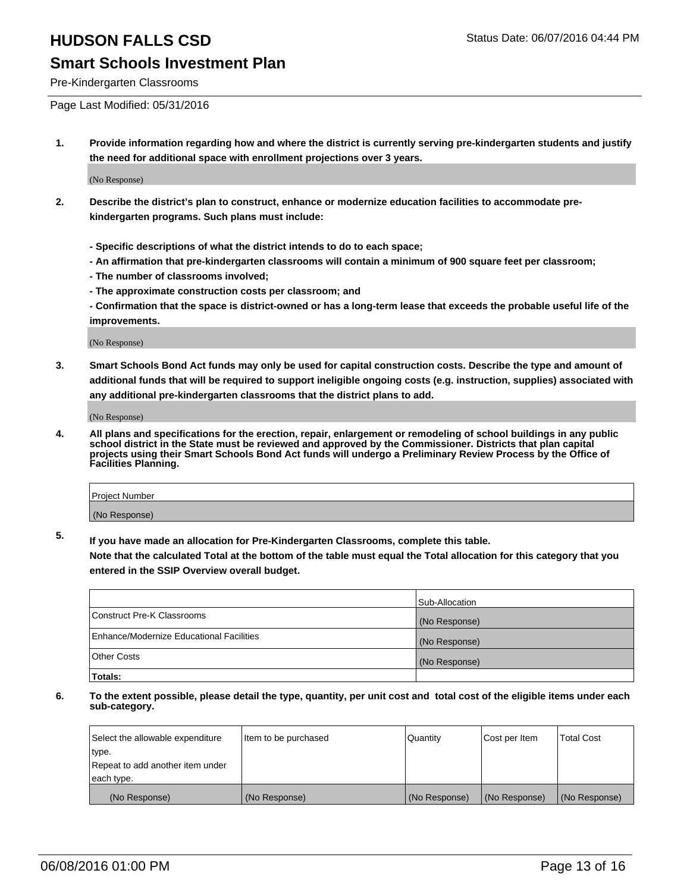### **Smart Schools Investment Plan**

Pre-Kindergarten Classrooms

Page Last Modified: 05/31/2016

**1. Provide information regarding how and where the district is currently serving pre-kindergarten students and justify the need for additional space with enrollment projections over 3 years.**

(No Response)

- **2. Describe the district's plan to construct, enhance or modernize education facilities to accommodate prekindergarten programs. Such plans must include:**
	- **Specific descriptions of what the district intends to do to each space;**
	- **An affirmation that pre-kindergarten classrooms will contain a minimum of 900 square feet per classroom;**
	- **The number of classrooms involved;**
	- **The approximate construction costs per classroom; and**
	- **Confirmation that the space is district-owned or has a long-term lease that exceeds the probable useful life of the improvements.**

(No Response)

**3. Smart Schools Bond Act funds may only be used for capital construction costs. Describe the type and amount of additional funds that will be required to support ineligible ongoing costs (e.g. instruction, supplies) associated with any additional pre-kindergarten classrooms that the district plans to add.**

(No Response)

**4. All plans and specifications for the erection, repair, enlargement or remodeling of school buildings in any public school district in the State must be reviewed and approved by the Commissioner. Districts that plan capital projects using their Smart Schools Bond Act funds will undergo a Preliminary Review Process by the Office of Facilities Planning.**

| Project Number |  |
|----------------|--|
| (No Response)  |  |

**5. If you have made an allocation for Pre-Kindergarten Classrooms, complete this table.**

**Note that the calculated Total at the bottom of the table must equal the Total allocation for this category that you entered in the SSIP Overview overall budget.**

|                                          | Sub-Allocation |
|------------------------------------------|----------------|
| Construct Pre-K Classrooms               | (No Response)  |
| Enhance/Modernize Educational Facilities | (No Response)  |
| Other Costs                              | (No Response)  |
| Totals:                                  |                |

| Select the allowable expenditure | Item to be purchased | Quantity      | Cost per Item | <b>Total Cost</b> |
|----------------------------------|----------------------|---------------|---------------|-------------------|
| type.                            |                      |               |               |                   |
| Repeat to add another item under |                      |               |               |                   |
| each type.                       |                      |               |               |                   |
| (No Response)                    | (No Response)        | (No Response) | (No Response) | (No Response)     |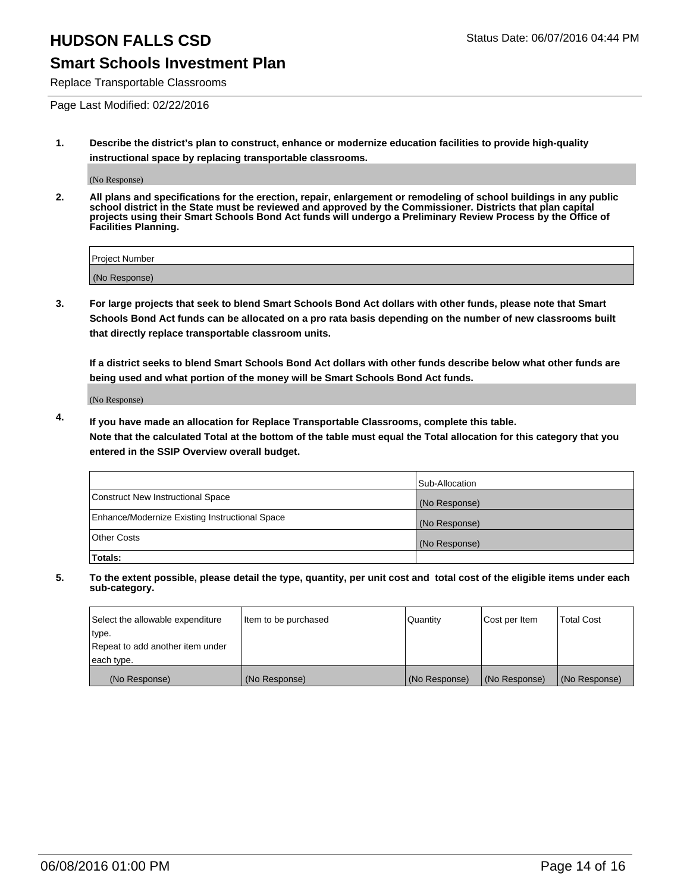### **Smart Schools Investment Plan**

Replace Transportable Classrooms

Page Last Modified: 02/22/2016

**1. Describe the district's plan to construct, enhance or modernize education facilities to provide high-quality instructional space by replacing transportable classrooms.**

(No Response)

**2. All plans and specifications for the erection, repair, enlargement or remodeling of school buildings in any public school district in the State must be reviewed and approved by the Commissioner. Districts that plan capital projects using their Smart Schools Bond Act funds will undergo a Preliminary Review Process by the Office of Facilities Planning.**

| Project Number |  |
|----------------|--|
| (No Response)  |  |

**3. For large projects that seek to blend Smart Schools Bond Act dollars with other funds, please note that Smart Schools Bond Act funds can be allocated on a pro rata basis depending on the number of new classrooms built that directly replace transportable classroom units.**

**If a district seeks to blend Smart Schools Bond Act dollars with other funds describe below what other funds are being used and what portion of the money will be Smart Schools Bond Act funds.**

(No Response)

**4. If you have made an allocation for Replace Transportable Classrooms, complete this table. Note that the calculated Total at the bottom of the table must equal the Total allocation for this category that you entered in the SSIP Overview overall budget.**

|                                                | Sub-Allocation |
|------------------------------------------------|----------------|
| Construct New Instructional Space              | (No Response)  |
| Enhance/Modernize Existing Instructional Space | (No Response)  |
| <b>Other Costs</b>                             | (No Response)  |
| Totals:                                        |                |

| Select the allowable expenditure | Item to be purchased | <b>Quantity</b> | Cost per Item | <b>Total Cost</b> |
|----------------------------------|----------------------|-----------------|---------------|-------------------|
| type.                            |                      |                 |               |                   |
| Repeat to add another item under |                      |                 |               |                   |
| each type.                       |                      |                 |               |                   |
| (No Response)                    | (No Response)        | (No Response)   | (No Response) | (No Response)     |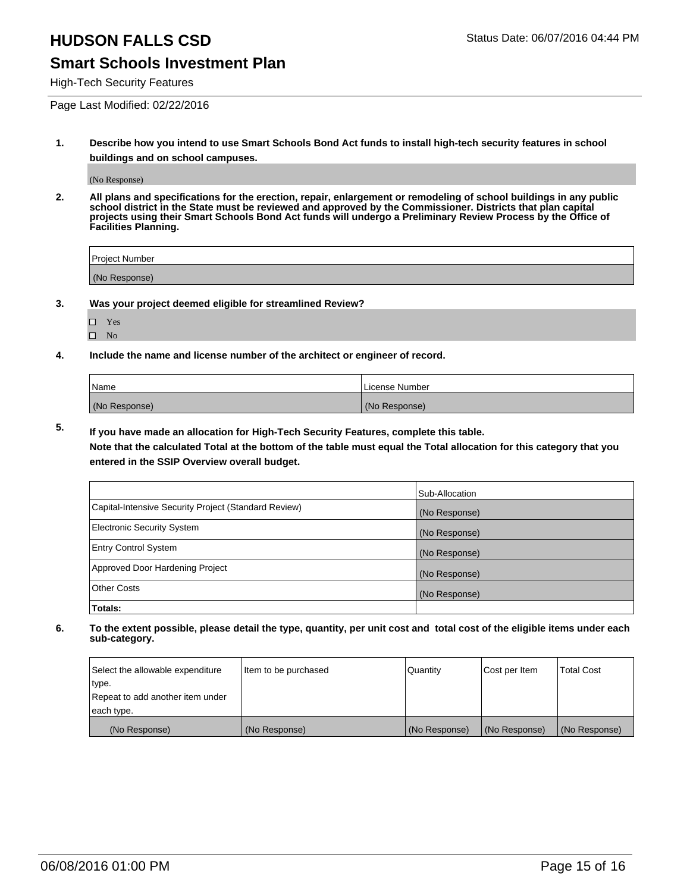### **Smart Schools Investment Plan**

High-Tech Security Features

Page Last Modified: 02/22/2016

**1. Describe how you intend to use Smart Schools Bond Act funds to install high-tech security features in school buildings and on school campuses.**

(No Response)

**2. All plans and specifications for the erection, repair, enlargement or remodeling of school buildings in any public school district in the State must be reviewed and approved by the Commissioner. Districts that plan capital projects using their Smart Schools Bond Act funds will undergo a Preliminary Review Process by the Office of Facilities Planning.** 

| Project Number |  |
|----------------|--|
| (No Response)  |  |

**3. Was your project deemed eligible for streamlined Review?**

□ Yes  $\hfill \square$  <br> No

**4. Include the name and license number of the architect or engineer of record.**

| Name          | License Number |
|---------------|----------------|
| (No Response) | (No Response)  |

**5. If you have made an allocation for High-Tech Security Features, complete this table.**

**Note that the calculated Total at the bottom of the table must equal the Total allocation for this category that you entered in the SSIP Overview overall budget.**

|                                                      | Sub-Allocation |
|------------------------------------------------------|----------------|
| Capital-Intensive Security Project (Standard Review) | (No Response)  |
| <b>Electronic Security System</b>                    | (No Response)  |
| <b>Entry Control System</b>                          | (No Response)  |
| Approved Door Hardening Project                      | (No Response)  |
| <b>Other Costs</b>                                   | (No Response)  |
| Totals:                                              |                |

| Select the allowable expenditure | Item to be purchased | Quantity      | Cost per Item | Total Cost    |
|----------------------------------|----------------------|---------------|---------------|---------------|
| type.                            |                      |               |               |               |
| Repeat to add another item under |                      |               |               |               |
| each type.                       |                      |               |               |               |
| (No Response)                    | (No Response)        | (No Response) | (No Response) | (No Response) |